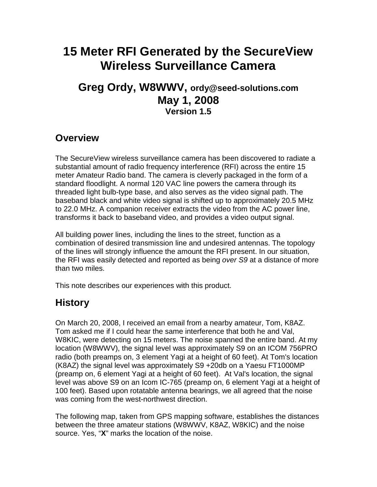# **15 Meter RFI Generated by the SecureView Wireless Surveillance Camera**

#### **Greg Ordy, W8WWV, ordy@seed-solutions.com May 1, 2008 Version 1.5**

#### **Overview**

The SecureView wireless surveillance camera has been discovered to radiate a substantial amount of radio frequency interference (RFI) across the entire 15 meter Amateur Radio band. The camera is cleverly packaged in the form of a standard floodlight. A normal 120 VAC line powers the camera through its threaded light bulb-type base, and also serves as the video signal path. The baseband black and white video signal is shifted up to approximately 20.5 MHz to 22.0 MHz. A companion receiver extracts the video from the AC power line, transforms it back to baseband video, and provides a video output signal.

All building power lines, including the lines to the street, function as a combination of desired transmission line and undesired antennas. The topology of the lines will strongly influence the amount the RFI present. In our situation, the RFI was easily detected and reported as being over S9 at a distance of more than two miles.

This note describes our experiences with this product.

## **History**

On March 20, 2008, I received an email from a nearby amateur, Tom, K8AZ. Tom asked me if I could hear the same interference that both he and Val, W8KIC, were detecting on 15 meters. The noise spanned the entire band. At my location (W8WWV), the signal level was approximately S9 on an ICOM 756PRO radio (both preamps on, 3 element Yagi at a height of 60 feet). At Tom's location (K8AZ) the signal level was approximately S9 +20db on a Yaesu FT1000MP (preamp on, 6 element Yagi at a height of 60 feet). At Val's location, the signal level was above S9 on an Icom IC-765 (preamp on, 6 element Yagi at a height of 100 feet). Based upon rotatable antenna bearings, we all agreed that the noise was coming from the west-northwest direction.

The following map, taken from GPS mapping software, establishes the distances between the three amateur stations (W8WWV, K8AZ, W8KIC) and the noise source. Yes, "**X**" marks the location of the noise.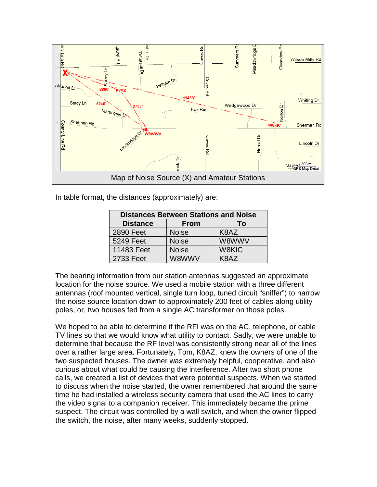

In table format, the distances (approximately) are:

| <b>Distances Between Stations and Noise</b> |              |       |
|---------------------------------------------|--------------|-------|
| <b>Distance</b>                             | <b>From</b>  | Т٥    |
| 2890 Feet                                   | <b>Noise</b> | K8AZ  |
| 5249 Feet                                   | <b>Noise</b> | W8WWV |
| 11483 Feet                                  | <b>Noise</b> | W8KIC |
| 2733 Feet                                   | W8WWV        | K8AZ  |

The bearing information from our station antennas suggested an approximate location for the noise source. We used a mobile station with a three different antennas (roof mounted vertical, single turn loop, tuned circuit "sniffer") to narrow the noise source location down to approximately 200 feet of cables along utility poles, or, two houses fed from a single AC transformer on those poles.

We hoped to be able to determine if the RFI was on the AC, telephone, or cable TV lines so that we would know what utility to contact. Sadly, we were unable to determine that because the RF level was consistently strong near all of the lines over a rather large area. Fortunately, Tom, K8AZ, knew the owners of one of the two suspected houses. The owner was extremely helpful, cooperative, and also curious about what could be causing the interference. After two short phone calls, we created a list of devices that were potential suspects. When we started to discuss when the noise started, the owner remembered that around the same time he had installed a wireless security camera that used the AC lines to carry the video signal to a companion receiver. This immediately became the prime suspect. The circuit was controlled by a wall switch, and when the owner flipped the switch, the noise, after many weeks, suddenly stopped.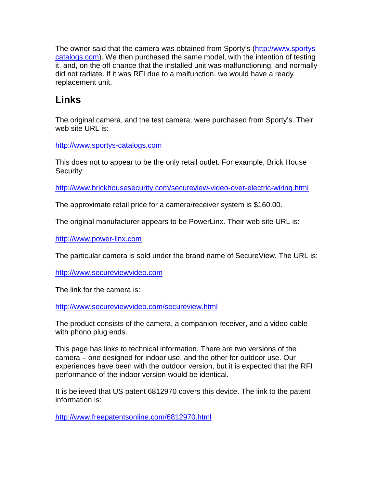The owner said that the camera was obtained from Sporty's (http://www.sportyscatalogs.com). We then purchased the same model, with the intention of testing it, and, on the off chance that the installed unit was malfunctioning, and normally did not radiate. If it was RFI due to a malfunction, we would have a ready replacement unit.

## **Links**

The original camera, and the test camera, were purchased from Sporty's. Their web site URL is:

http://www.sportys-catalogs.com

This does not to appear to be the only retail outlet. For example, Brick House Security:

http://www.brickhousesecurity.com/secureview-video-over-electric-wiring.html

The approximate retail price for a camera/receiver system is \$160.00.

The original manufacturer appears to be PowerLinx. Their web site URL is:

http://www.power-linx.com

The particular camera is sold under the brand name of SecureView. The URL is:

http://www.secureviewvideo.com

The link for the camera is:

http://www.secureviewvideo.com/secureview.html

The product consists of the camera, a companion receiver, and a video cable with phono plug ends.

This page has links to technical information. There are two versions of the camera – one designed for indoor use, and the other for outdoor use. Our experiences have been with the outdoor version, but it is expected that the RFI performance of the indoor version would be identical.

It is believed that US patent 6812970 covers this device. The link to the patent information is:

http://www.freepatentsonline.com/6812970.html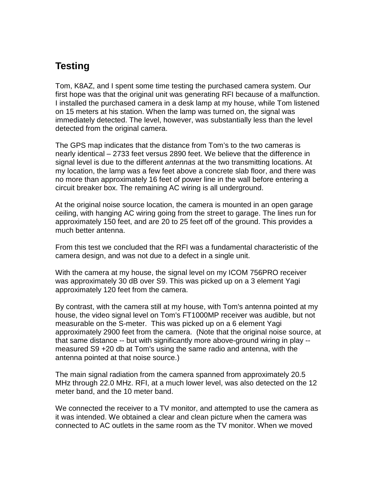## **Testing**

Tom, K8AZ, and I spent some time testing the purchased camera system. Our first hope was that the original unit was generating RFI because of a malfunction. I installed the purchased camera in a desk lamp at my house, while Tom listened on 15 meters at his station. When the lamp was turned on, the signal was immediately detected. The level, however, was substantially less than the level detected from the original camera.

The GPS map indicates that the distance from Tom's to the two cameras is nearly identical – 2733 feet versus 2890 feet. We believe that the difference in signal level is due to the different antennas at the two transmitting locations. At my location, the lamp was a few feet above a concrete slab floor, and there was no more than approximately 16 feet of power line in the wall before entering a circuit breaker box. The remaining AC wiring is all underground.

At the original noise source location, the camera is mounted in an open garage ceiling, with hanging AC wiring going from the street to garage. The lines run for approximately 150 feet, and are 20 to 25 feet off of the ground. This provides a much better antenna.

From this test we concluded that the RFI was a fundamental characteristic of the camera design, and was not due to a defect in a single unit.

With the camera at my house, the signal level on my ICOM 756PRO receiver was approximately 30 dB over S9. This was picked up on a 3 element Yagi approximately 120 feet from the camera.

By contrast, with the camera still at my house, with Tom's antenna pointed at my house, the video signal level on Tom's FT1000MP receiver was audible, but not measurable on the S-meter. This was picked up on a 6 element Yagi approximately 2900 feet from the camera. (Note that the original noise source, at that same distance -- but with significantly more above-ground wiring in play - measured S9 +20 db at Tom's using the same radio and antenna, with the antenna pointed at that noise source.)

The main signal radiation from the camera spanned from approximately 20.5 MHz through 22.0 MHz. RFI, at a much lower level, was also detected on the 12 meter band, and the 10 meter band.

We connected the receiver to a TV monitor, and attempted to use the camera as it was intended. We obtained a clear and clean picture when the camera was connected to AC outlets in the same room as the TV monitor. When we moved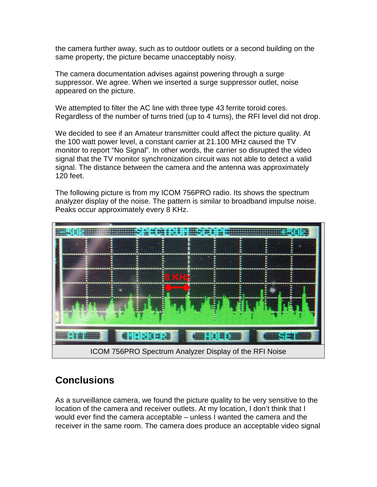the camera further away, such as to outdoor outlets or a second building on the same property, the picture became unacceptably noisy.

The camera documentation advises against powering through a surge suppressor. We agree. When we inserted a surge suppressor outlet, noise appeared on the picture.

We attempted to filter the AC line with three type 43 ferrite toroid cores. Regardless of the number of turns tried (up to 4 turns), the RFI level did not drop.

We decided to see if an Amateur transmitter could affect the picture quality. At the 100 watt power level, a constant carrier at 21.100 MHz caused the TV monitor to report "No Signal". In other words, the carrier so disrupted the video signal that the TV monitor synchronization circuit was not able to detect a valid signal. The distance between the camera and the antenna was approximately 120 feet.

The following picture is from my ICOM 756PRO radio. Its shows the spectrum analyzer display of the noise. The pattern is similar to broadband impulse noise. Peaks occur approximately every 8 KHz.



## **Conclusions**

As a surveillance camera, we found the picture quality to be very sensitive to the location of the camera and receiver outlets. At my location, I don't think that I would ever find the camera acceptable – unless I wanted the camera and the receiver in the same room. The camera does produce an acceptable video signal